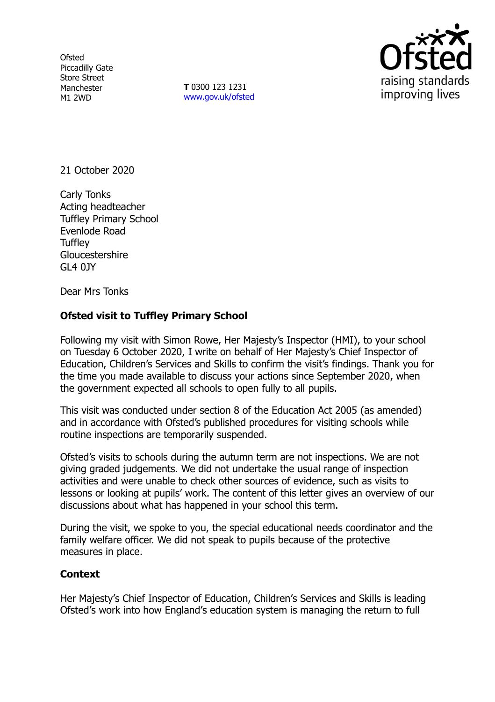**Ofsted** Piccadilly Gate Store Street Manchester M1 2WD

**T** 0300 123 1231 [www.gov.uk/ofsted](http://www.gov.uk/ofsted)



21 October 2020

Carly Tonks Acting headteacher Tuffley Primary School Evenlode Road **Tuffley Gloucestershire** GL4 0JY

Dear Mrs Tonks

## **Ofsted visit to Tuffley Primary School**

Following my visit with Simon Rowe, Her Majesty's Inspector (HMI), to your school on Tuesday 6 October 2020, I write on behalf of Her Majesty's Chief Inspector of Education, Children's Services and Skills to confirm the visit's findings. Thank you for the time you made available to discuss your actions since September 2020, when the government expected all schools to open fully to all pupils.

This visit was conducted under section 8 of the Education Act 2005 (as amended) and in accordance with Ofsted's published procedures for visiting schools while routine inspections are temporarily suspended.

Ofsted's visits to schools during the autumn term are not inspections. We are not giving graded judgements. We did not undertake the usual range of inspection activities and were unable to check other sources of evidence, such as visits to lessons or looking at pupils' work. The content of this letter gives an overview of our discussions about what has happened in your school this term.

During the visit, we spoke to you, the special educational needs coordinator and the family welfare officer. We did not speak to pupils because of the protective measures in place.

## **Context**

Her Majesty's Chief Inspector of Education, Children's Services and Skills is leading Ofsted's work into how England's education system is managing the return to full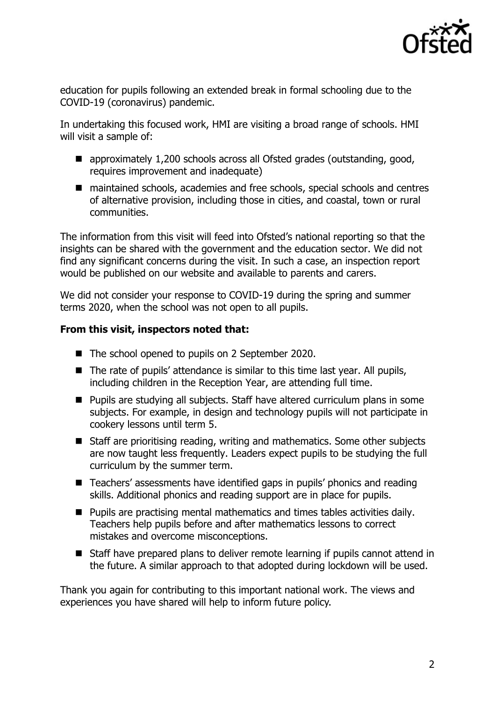

education for pupils following an extended break in formal schooling due to the COVID-19 (coronavirus) pandemic.

In undertaking this focused work, HMI are visiting a broad range of schools. HMI will visit a sample of:

- approximately 1,200 schools across all Ofsted grades (outstanding, good, requires improvement and inadequate)
- maintained schools, academies and free schools, special schools and centres of alternative provision, including those in cities, and coastal, town or rural communities.

The information from this visit will feed into Ofsted's national reporting so that the insights can be shared with the government and the education sector. We did not find any significant concerns during the visit. In such a case, an inspection report would be published on our website and available to parents and carers.

We did not consider your response to COVID-19 during the spring and summer terms 2020, when the school was not open to all pupils.

## **From this visit, inspectors noted that:**

- The school opened to pupils on 2 September 2020.
- The rate of pupils' attendance is similar to this time last year. All pupils, including children in the Reception Year, are attending full time.
- **Pupils are studying all subjects. Staff have altered curriculum plans in some** subjects. For example, in design and technology pupils will not participate in cookery lessons until term 5.
- Staff are prioritising reading, writing and mathematics. Some other subjects are now taught less frequently. Leaders expect pupils to be studying the full curriculum by the summer term.
- Teachers' assessments have identified gaps in pupils' phonics and reading skills. Additional phonics and reading support are in place for pupils.
- **Pupils are practising mental mathematics and times tables activities daily.** Teachers help pupils before and after mathematics lessons to correct mistakes and overcome misconceptions.
- Staff have prepared plans to deliver remote learning if pupils cannot attend in the future. A similar approach to that adopted during lockdown will be used.

Thank you again for contributing to this important national work. The views and experiences you have shared will help to inform future policy.